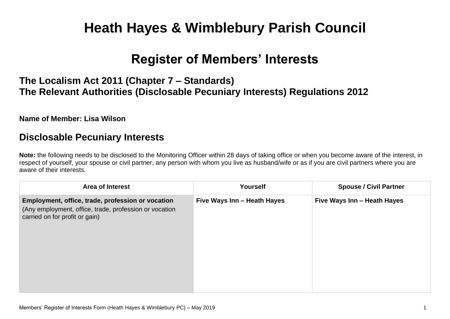# **Heath Hayes & Wimblebury Parish Council**

## **Register of Members' Interests**

## **The Localism Act 2011 (Chapter 7 – Standards) The Relevant Authorities (Disclosable Pecuniary Interests) Regulations 2012**

#### **Name of Member: Lisa Wilson**

### **Disclosable Pecuniary Interests**

**Note:** the following needs to be disclosed to the Monitoring Officer within 28 days of taking office or when you become aware of the interest, in respect of yourself, your spouse or civil partner, any person with whom you live as husband/wife or as if you are civil partners where you are aware of their interests.

| <b>Area of Interest</b>                                                                                                                       | <b>Yourself</b>             | <b>Spouse / Civil Partner</b> |
|-----------------------------------------------------------------------------------------------------------------------------------------------|-----------------------------|-------------------------------|
| Employment, office, trade, profession or vocation<br>(Any employment, office, trade, profession or vocation<br>carried on for profit or gain) | Five Ways Inn - Heath Hayes | Five Ways Inn - Heath Hayes   |
|                                                                                                                                               |                             |                               |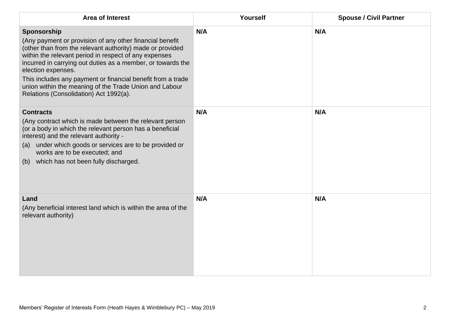| <b>Area of Interest</b>                                                                                                                                                                                                                                                                                                                                                                                                                               | Yourself | <b>Spouse / Civil Partner</b> |
|-------------------------------------------------------------------------------------------------------------------------------------------------------------------------------------------------------------------------------------------------------------------------------------------------------------------------------------------------------------------------------------------------------------------------------------------------------|----------|-------------------------------|
| Sponsorship<br>(Any payment or provision of any other financial benefit<br>(other than from the relevant authority) made or provided<br>within the relevant period in respect of any expenses<br>incurred in carrying out duties as a member, or towards the<br>election expenses.<br>This includes any payment or financial benefit from a trade<br>union within the meaning of the Trade Union and Labour<br>Relations (Consolidation) Act 1992(a). | N/A      | N/A                           |
| <b>Contracts</b><br>(Any contract which is made between the relevant person<br>(or a body in which the relevant person has a beneficial<br>interest) and the relevant authority -<br>under which goods or services are to be provided or<br>(a)<br>works are to be executed; and<br>(b) which has not been fully discharged.                                                                                                                          | N/A      | N/A                           |
| Land<br>(Any beneficial interest land which is within the area of the<br>relevant authority)                                                                                                                                                                                                                                                                                                                                                          | N/A      | N/A                           |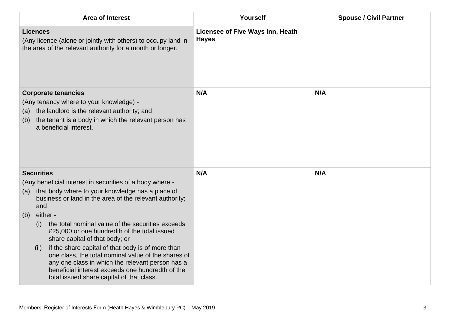| Area of Interest                                                                                                                                                                                                                                                                                                                                        | Yourself                                         | <b>Spouse / Civil Partner</b> |
|---------------------------------------------------------------------------------------------------------------------------------------------------------------------------------------------------------------------------------------------------------------------------------------------------------------------------------------------------------|--------------------------------------------------|-------------------------------|
| <b>Licences</b><br>(Any licence (alone or jointly with others) to occupy land in<br>the area of the relevant authority for a month or longer.                                                                                                                                                                                                           | Licensee of Five Ways Inn, Heath<br><b>Hayes</b> |                               |
| <b>Corporate tenancies</b><br>(Any tenancy where to your knowledge) -<br>the landlord is the relevant authority; and<br>(a)<br>the tenant is a body in which the relevant person has<br>(b)<br>a beneficial interest.                                                                                                                                   | N/A                                              | N/A                           |
| <b>Securities</b>                                                                                                                                                                                                                                                                                                                                       | N/A                                              | N/A                           |
| (Any beneficial interest in securities of a body where -<br>that body where to your knowledge has a place of<br>(a)<br>business or land in the area of the relevant authority;<br>and                                                                                                                                                                   |                                                  |                               |
| either -<br>(b)<br>the total nominal value of the securities exceeds<br>(i)                                                                                                                                                                                                                                                                             |                                                  |                               |
| £25,000 or one hundredth of the total issued<br>share capital of that body; or<br>if the share capital of that body is of more than<br>(ii)<br>one class, the total nominal value of the shares of<br>any one class in which the relevant person has a<br>beneficial interest exceeds one hundredth of the<br>total issued share capital of that class. |                                                  |                               |